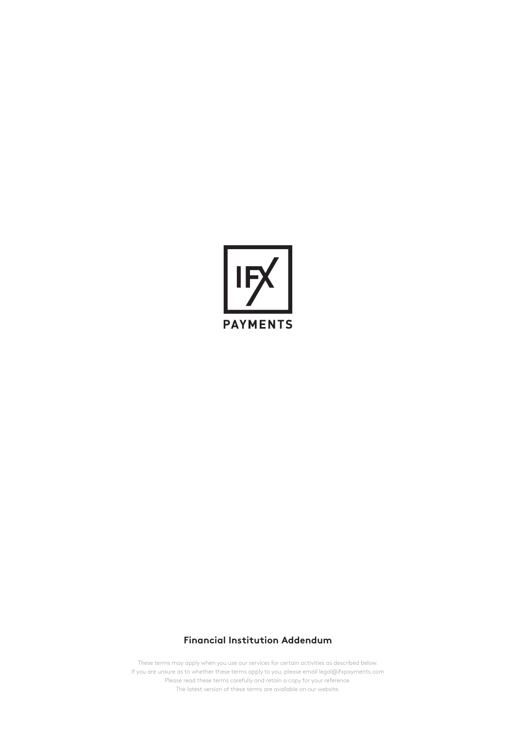

# **Financial Institution Addendum**

These terms may apply when you use our services for certain activities as described below. If you are unsure as to whether these terms apply to you, please email legal@ifxpayments.com Please read these terms carefully and retain a copy for your reference. The latest version of these terms are available on our website.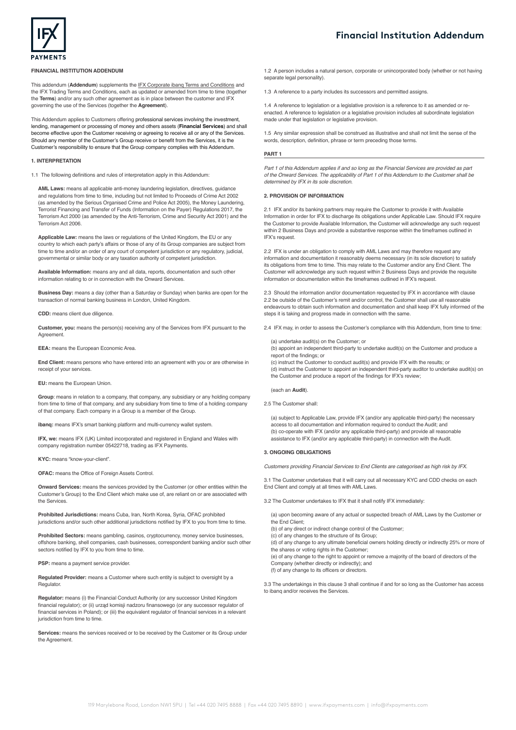

## **FINANCIAL INSTITUTION ADDENDUM**

This addendum (**Addendum**) supplements the [IFX Corporate ibanq Terms and Conditions](https://www.ifxpayments.com/corporate-trading-terms-and-conditions/) and the IFX Trading Terms and Conditions, each as updated or amended from time to time (together the **Terms**) and/or any such other agreement as is in place between the customer and IFX governing the use of the Services (together the **Agreement**).

This Addendum applies to Customers offering professional services involving the investment, lending, management or processing of money and others assets (**Financial Services**) and shall become effective upon the Customer receiving or agreeing to receive all or any of the Services. Should any member of the Customer's Group receive or benefit from the Services, it is the Customer's responsibility to ensure that the Group company complies with this Addendum.

# **1. INTERPRETATION**

1.1 The following definitions and rules of interpretation apply in this Addendum:

**AML Laws:** means all applicable anti-money laundering legislation, directives, guidance and regulations from time to time, including but not limited to Proceeds of Crime Act 2002 (as amended by the Serious Organised Crime and Police Act 2005), the Money Laundering, Terrorist Financing and Transfer of Funds (Information on the Payer) Regulations 2017, the Terrorism Act 2000 (as amended by the Anti-Terrorism, Crime and Security Act 2001) and the Terrorism Act 2006.

**Applicable Law:** means the laws or regulations of the United Kingdom, the EU or any country to which each party's affairs or those of any of its Group companies are subject from time to time and/or an order of any court of competent jurisdiction or any regulatory, judicial, governmental or similar body or any taxation authority of competent jurisdiction.

**Available Information:** means any and all data, reports, documentation and such other information relating to or in connection with the Onward Services.

**Business Day:** means a day (other than a Saturday or Sunday) when banks are open for the transaction of normal banking business in London, United Kingdom.

**CDD:** means client due diligence.

**Customer, you:** means the person(s) receiving any of the Services from IFX pursuant to the **Agreement** 

**EEA:** means the European Economic Area.

**End Client:** means persons who have entered into an agreement with you or are otherwise in receipt of your services.

**EU:** means the European Union.

**Group**: means in relation to a company, that company, any subsidiary or any holding company from time to time of that company, and any subsidiary from time to time of a holding company of that company. Each company in a Group is a member of the Group.

**ibang:** means IFX's smart banking platform and multi-currency wallet system.

**IFX, we:** means IFX (UK) Limited incorporated and registered in England and Wales with company registration number 05422718, trading as IFX Payments.

**KYC:** means "know-your-client".

**OFAC:** means the Office of Foreign Assets Control.

**Onward Services:** means the services provided by the Customer (or other entities within the Customer's Group) to the End Client which make use of, are reliant on or are associated with the Services.

**Prohibited Jurisdictions:** means Cuba, Iran, North Korea, Syria, OFAC prohibited jurisdictions and/or such other additional jurisdictions notified by IFX to you from time to time.

**Prohibited Sectors:** means gambling, casinos, cryptocurrency, money service businesses, offshore banking, shell companies, cash businesses, correspondent banking and/or such other sectors notified by IFX to you from time to time.

**PSP:** means a payment service provider.

**Regulated Provider:** means a Customer where such entity is subject to oversight by a **Regulator** 

**Regulator:** means (i) the Financial Conduct Authority (or any successor United Kingdom financial regulator); or (ii) urząd komisji nadzoru finansowego (or any successor regulator of financial services in Poland); or (iii) the equivalent regulator of financial services in a relevant jurisdiction from time to time.

**Services:** means the services received or to be received by the Customer or its Group under the Agreement.

1.2 A person includes a natural person, corporate or unincorporated body (whether or not having separate legal personality).

1.3 A reference to a party includes its successors and permitted assigns.

1.4 A reference to legislation or a legislative provision is a reference to it as amended or reenacted. A reference to legislation or a legislative provision includes all subordinate legislation made under that legislation or legislative provision.

1.5 Any similar expression shall be construed as illustrative and shall not limit the sense of the words, description, definition, phrase or term preceding those terms.

#### **PART 1**

*Part 1 of this Addendum applies if and so long as the Financial Services are provided as part of the Onward Services. The applicability of Part 1 of this Addendum to the Customer shall be determined by IFX in its sole discretion.* 

## **2. PROVISION OF INFORMATION**

2.1 IFX and/or its banking partners may require the Customer to provide it with Available Information in order for IFX to discharge its obligations under Applicable Law. Should IFX require the Customer to provide Available Information, the Customer will acknowledge any such request within 2 Business Days and provide a substantive response within the timeframes outlined in IFX's request.

2.2 IFX is under an obligation to comply with AML Laws and may therefore request any information and documentation it reasonably deems necessary (in its sole discretion) to satisfy its obligations from time to time. This may relate to the Customer and/or any End Client. The Customer will acknowledge any such request within 2 Business Days and provide the requisite information or documentation within the timeframes outlined in IFX's request.

2.3 Should the information and/or documentation requested by IFX in accordance with clause 2.2 be outside of the Customer's remit and/or control, the Customer shall use all reasonable endeavours to obtain such information and documentation and shall keep IFX fully informed of the steps it is taking and progress made in connection with the same.

2.4 IFX may, in order to assess the Customer's compliance with this Addendum, from time to time:

(a) undertake audit(s) on the Customer; or

 $\dot{\phi}$ ) appoint an independent third-party to undertake audit(s) on the Customer and produce a report of the findings; or

(c) instruct the Customer to conduct audit(s) and provide IFX with the results; or (d) instruct the Customer to appoint an independent third-party auditor to undertake audit(s) on the Customer and produce a report of the findings for IFX's review;

(each an **Audit**).

2.5 The Customer shall:

(a) subject to Applicable Law, provide IFX (and/or any applicable third-party) the necessary access to all documentation and information required to conduct the Audit; and (b) co-operate with IFX (and/or any applicable third-party) and provide all reasonable assistance to IFX (and/or any applicable third-party) in connection with the Audit.

## **3. ONGOING OBLIGATIONS**

*Customers providing Financial Services to End Clients are categorised as high risk by IFX.* 

3.1 The Customer undertakes that it will carry out all necessary KYC and CDD checks on each End Client and comply at all times with AML Laws.

3.2 The Customer undertakes to IFX that it shall notify IFX immediately:

(a) upon becoming aware of any actual or suspected breach of AML Laws by the Customer or the End Client; (b) of any direct or indirect change control of the Customer; (c) of any changes to the structure of its Group; (d) of any change to any ultimate beneficial owners holding directly or indirectly 25% or more of the shares or voting rights in the Customer;

(e) of any change to the right to appoint or remove a majority of the board of directors of the Company (whether directly or indirectly); and

(f) of any change to its officers or directors.

3.3 The undertakings in this clause 3 shall continue if and for so long as the Customer has access to ibanq and/or receives the Services.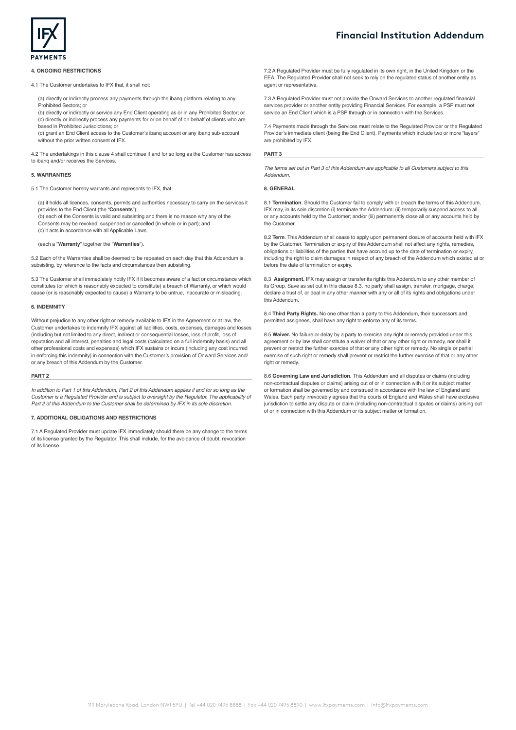

#### **4. ONGOING RESTRICTIONS**

4.1 The Customer undertakes to IFX that, it shall not:

(a) directly or indirectly process any payments through the ibanq platform relating to any Prohibited Sectors; or

(b) directly or indirectly or service any End Client operating as or in any Prohibited Sector; or (c) directly or indirectly process any payments for or on behalf of on behalf of clients who are **b**<br>ased in Prohibited Jurisdictions; or

(d) grant an End Client access to the Customer's ibanq account or any ibanq sub-account without the prior written consent of IFX.

4.2 The undertakings in this clause 4 shall continue if and for so long as the Customer has access to ibanq and/or receives the Services.

## **5. WARRANTIES**

5.1 The Customer hereby warrants and represents to IFX, that:

(a) it holds all licences, consents, permits and authorities necessary to carry on the services it provides to the End Client (the "**Consents**");

(b) each of the Consents is valid and subsisting and there is no reason why any of the Consents may be revoked, suspended or cancelled (in whole or in part); and (c) it acts in accordance with all Applicable Laws,

(each a "**Warranty**" together the "**Warranties**").

5.2 Each of the Warranties shall be deemed to be repeated on each day that this Addendum is subsisting, by reference to the facts and circumstances then subsisting.

5.3 The Customer shall immediately notify IFX if it becomes aware of a fact or circumstance which constitutes (or which is reasonably expected to constitute) a breach of Warranty, or which would cause (or is reasonably expected to cause) a Warranty to be untrue, inaccurate or misleading.

# **6. INDEMNITY**

Without prejudice to any other right or remedy available to IFX in the Agreement or at law, the Customer undertakes to indemnify IFX against all liabilities, costs, expenses, damages and losses (including but not limited to any direct, indirect or consequential losses, loss of profit, loss of reputation and all interest, penalties and legal costs (calculated on a full indemnity basis) and all other professional costs and expenses) which IFX sustains or incurs (including any cost incurred in enforcing this indemnity) in connection with the Customer's provision of Onward Services and/ or any breach of this Addendum by the Customer.

# **PART 2**

*In addition to Part 1 of this Addendum, Part 2 of this Addendum applies if and for so long as the Customer is a Regulated Provider and is subject to oversight by the Regulator. The applicability of Part 2 of this Addendum to the Customer shall be determined by IFX in its sole discretion.*

#### **7. ADDITIONAL OBLIGATIONS AND RESTRICTIONS**

7.1 A Regulated Provider must update IFX immediately should there be any change to the terms of its license granted by the Regulator. This shall include, for the avoidance of doubt, revocation of its license.

**Financial Institution Addendum**

7.2 A Regulated Provider must be fully regulated in its own right, in the United Kingdom or the EEA. The Regulated Provider shall not seek to rely on the regulated status of another entity as agent or representative.

7.3 A Regulated Provider must not provide the Onward Services to another regulated financial services provider or another entity providing Financial Services. For example, a PSP must not service an End Client which is a PSP through or in connection with the Services.

7.4 Payments made through the Services must relate to the Regulated Provider or the Regulated Provider's immediate client (being the End Client). Payments which include two or more "layers" are prohibited by IFX.

#### **PART 3**

*The terms set out in Part 3 of this Addendum are applicable to all Customers subject to this Addendum.* 

## **8. GENERAL**

8.1 **Termination**. Should the Customer fail to comply with or breach the terms of this Addendum, IFX may, in its sole discretion (i) terminate the Addendum; (ii) temporarily suspend access to all or any accounts held by the Customer; and/or (iii) permanently close all or any accounts held by the Customer.

8.2 **Term**. This Addendum shall cease to apply upon permanent closure of accounts held with IFX by the Customer. Termination or expiry of this Addendum shall not affect any rights, remedies, obligations or liabilities of the parties that have accrued up to the date of termination or expiry, including the right to claim damages in respect of any breach of the Addendum which existed at or before the date of termination or expiry.

8.3 **Assignment.** IFX may assign or transfer its rights this Addendum to any other member of its Group. Save as set out in this clause 8.3, no party shall assign, transfer, mortgage, charge, declare a trust of, or deal in any other manner with any or all of its rights and obligations under this Addendum.

8.4 **Third Party Rights.** No one other than a party to this Addendum, their successors and permitted assignees, shall have any right to enforce any of its terms.

8.5 **Waiver.** No failure or delay by a party to exercise any right or remedy provided under this agreement or by law shall constitute a waiver of that or any other right or remedy, nor shall it prevent or restrict the further exercise of that or any other right or remedy. No single or partial exercise of such right or remedy shall prevent or restrict the further exercise of that or any other right or remedy

8.6 **Governing Law and Jurisdiction.** This Addendum and all disputes or claims (including non-contractual disputes or claims) arising out of or in connection with it or its subject matter or formation shall be governed by and construed in accordance with the law of England and Wales. Each party irrevocably agrees that the courts of England and Wales shall have exclusive jurisdiction to settle any dispute or claim (including non-contractual disputes or claims) arising out of or in connection with this Addendum or its subject matter or formation.